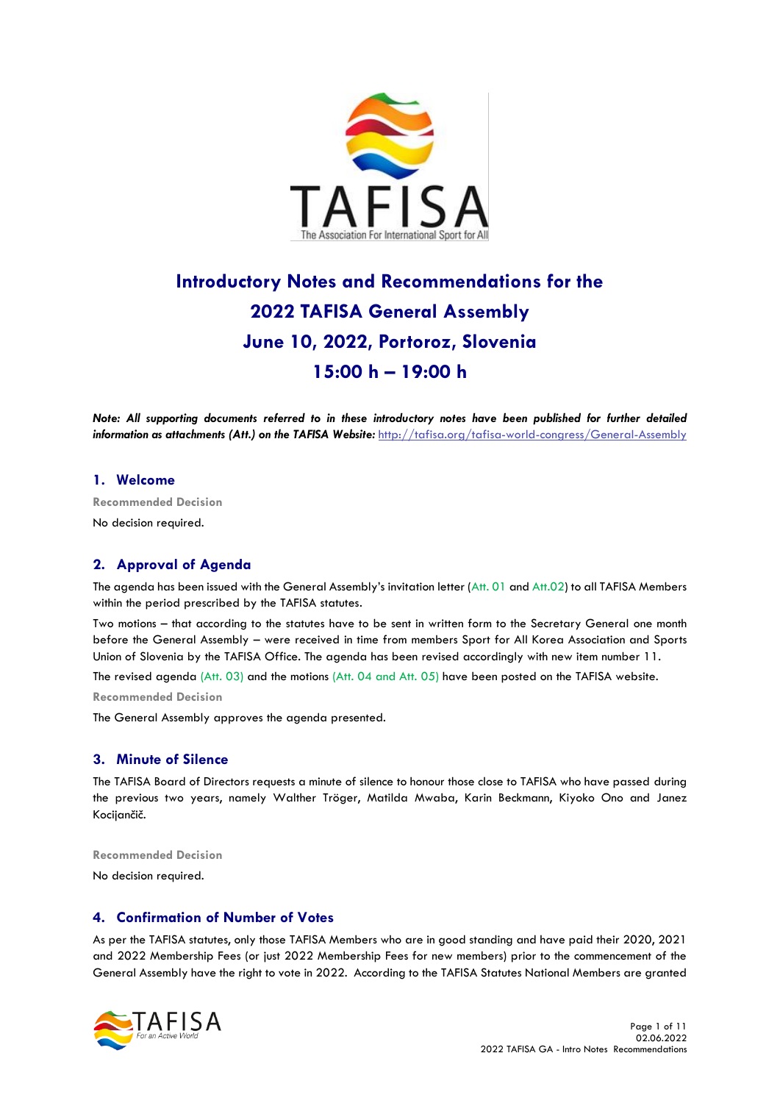

# **Introductory Notes and Recommendations for the 2022 TAFISA General Assembly June 10, 2022, Portoroz, Slovenia 15:00 h – 19:00 h**

*Note: All supporting documents referred to in these introductory notes have been published for further detailed information as attachments (Att.) on the TAFISA Website: <http://tafisa.org/tafisa-world-congress/General-Assembly>* 

## **1. Welcome**

**Recommended Decision** 

No decision required.

## **2. Approval of Agenda**

The agenda has been issued with the General Assembly's invitation letter (Att. 01 and Att.02) to all TAFISA Members within the period prescribed by the TAFISA statutes.

Two motions – that according to the statutes have to be sent in written form to the Secretary General one month before the General Assembly – were received in time from members Sport for All Korea Association and Sports Union of Slovenia by the TAFISA Office. The agenda has been revised accordingly with new item number 11.

The revised agenda (Att. 03) and the motions (Att. 04 and Att. 05) have been posted on the TAFISA website.

**Recommended Decision** 

The General Assembly approves the agenda presented.

#### **3. Minute of Silence**

The TAFISA Board of Directors requests a minute of silence to honour those close to TAFISA who have passed during the previous two years, namely Walther Tröger, Matilda Mwaba, Karin Beckmann, Kiyoko Ono and Janez Kocijančič.

**Recommended Decision**

No decision required.

#### **4. Confirmation of Number of Votes**

As per the TAFISA statutes, only those TAFISA Members who are in good standing and have paid their 2020, 2021 and 2022 Membership Fees (or just 2022 Membership Fees for new members) prior to the commencement of the General Assembly have the right to vote in 2022. According to the TAFISA Statutes National Members are granted

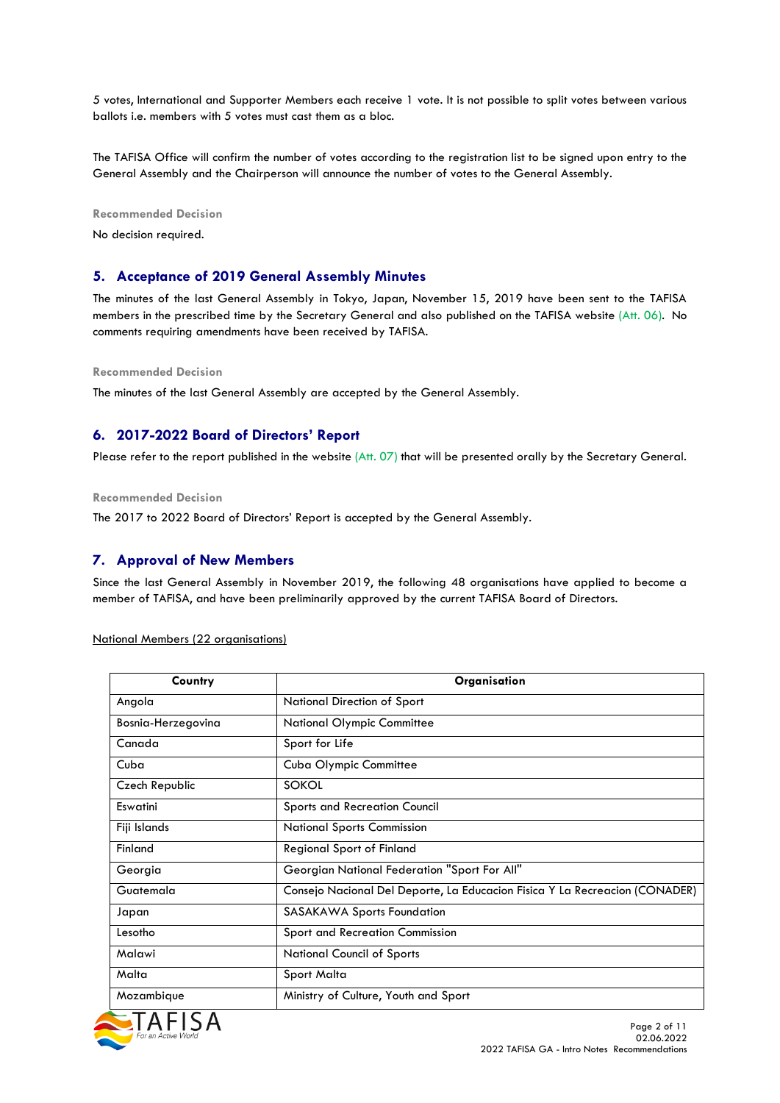5 votes, International and Supporter Members each receive 1 vote. It is not possible to split votes between various ballots i.e. members with 5 votes must cast them as a bloc.

The TAFISA Office will confirm the number of votes according to the registration list to be signed upon entry to the General Assembly and the Chairperson will announce the number of votes to the General Assembly.

**Recommended Decision** 

No decision required.

#### **5. Acceptance of 2019 General Assembly Minutes**

The minutes of the last General Assembly in Tokyo, Japan, November 15, 2019 have been sent to the TAFISA members in the prescribed time by the Secretary General and also published on the TAFISA website (Att. 06). No comments requiring amendments have been received by TAFISA.

**Recommended Decision** 

The minutes of the last General Assembly are accepted by the General Assembly.

## **6. 2017-2022 Board of Directors' Report**

Please refer to the report published in the website  $(Att, 07)$  that will be presented orally by the Secretary General.

**Recommended Decision** 

The 2017 to 2022 Board of Directors' Report is accepted by the General Assembly.

## **7. Approval of New Members**

Since the last General Assembly in November 2019, the following 48 organisations have applied to become a member of TAFISA, and have been preliminarily approved by the current TAFISA Board of Directors.

National Members (22 organisations)

| Country            | Organisation                                                                |
|--------------------|-----------------------------------------------------------------------------|
| Angola             | National Direction of Sport                                                 |
| Bosnia-Herzegovina | <b>National Olympic Committee</b>                                           |
| Canada             | Sport for Life                                                              |
| Cuba               | Cuba Olympic Committee                                                      |
| Czech Republic     | <b>SOKOL</b>                                                                |
| <b>Eswatini</b>    | <b>Sports and Recreation Council</b>                                        |
| Fiji Islands       | <b>National Sports Commission</b>                                           |
| Finland            | <b>Regional Sport of Finland</b>                                            |
| Georgia            | Georgian National Federation "Sport For All"                                |
| Guatemala          | Consejo Nacional Del Deporte, La Educacion Fisica Y La Recreacion (CONADER) |
| Japan              | <b>SASAKAWA Sports Foundation</b>                                           |
| Lesotho            | Sport and Recreation Commission                                             |
| Malawi             | <b>National Council of Sports</b>                                           |
| Malta              | Sport Malta                                                                 |
| Mozambique         | Ministry of Culture, Youth and Sport                                        |

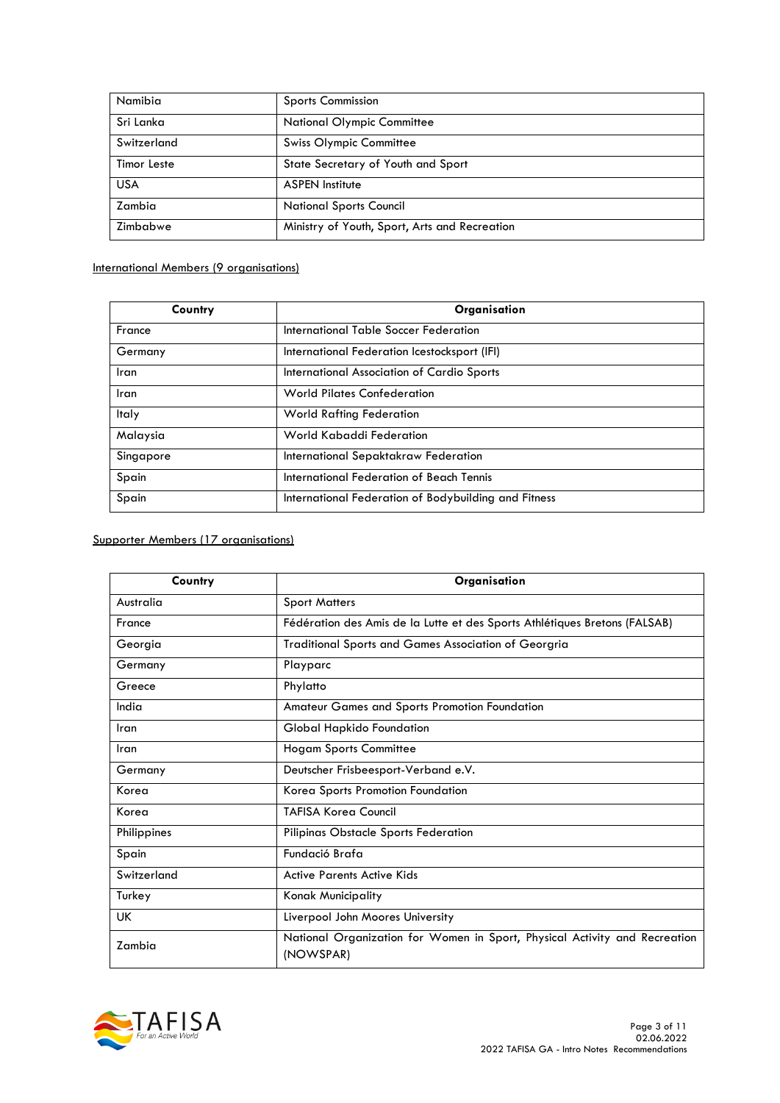| Namibia            | <b>Sports Commission</b>                      |
|--------------------|-----------------------------------------------|
| Sri Lanka          | <b>National Olympic Committee</b>             |
| Switzerland        | <b>Swiss Olympic Committee</b>                |
| <b>Timor Leste</b> | State Secretary of Youth and Sport            |
| <b>USA</b>         | <b>ASPEN Institute</b>                        |
| Zambia             | <b>National Sports Council</b>                |
| Zimbabwe           | Ministry of Youth, Sport, Arts and Recreation |

## International Members (9 organisations)

| Country      | Organisation                                         |
|--------------|------------------------------------------------------|
| France       | International Table Soccer Federation                |
| Germany      | International Federation Icestocksport (IFI)         |
| Iran         | International Association of Cardio Sports           |
| Iran         | <b>World Pilates Confederation</b>                   |
| <b>Italy</b> | <b>World Rafting Federation</b>                      |
| Malaysia     | World Kabaddi Federation                             |
| Singapore    | International Sepaktakraw Federation                 |
| Spain        | International Federation of Beach Tennis             |
| Spain        | International Federation of Bodybuilding and Fitness |

# Supporter Members (17 organisations)

| Country     | Organisation                                                                            |
|-------------|-----------------------------------------------------------------------------------------|
| Australia   | <b>Sport Matters</b>                                                                    |
| France      | Fédération des Amis de la Lutte et des Sports Athlétiques Bretons (FALSAB)              |
| Georgia     | Traditional Sports and Games Association of Georgria                                    |
| Germany     | Playparc                                                                                |
| Greece      | Phylatto                                                                                |
| India       | Amateur Games and Sports Promotion Foundation                                           |
| Iran        | Global Hapkido Foundation                                                               |
| Iran        | <b>Hogam Sports Committee</b>                                                           |
| Germany     | Deutscher Frisbeesport-Verband e.V.                                                     |
| Korea       | Korea Sports Promotion Foundation                                                       |
| Korea       | <b>TAFISA Koreg Council</b>                                                             |
| Philippines | Pilipinas Obstacle Sports Federation                                                    |
| Spain       | Fundació Brafa                                                                          |
| Switzerland | <b>Active Parents Active Kids</b>                                                       |
| Turkey      | <b>Konak Municipality</b>                                                               |
| UK          | Liverpool John Moores University                                                        |
| Zambia      | National Organization for Women in Sport, Physical Activity and Recreation<br>(NOWSPAR) |

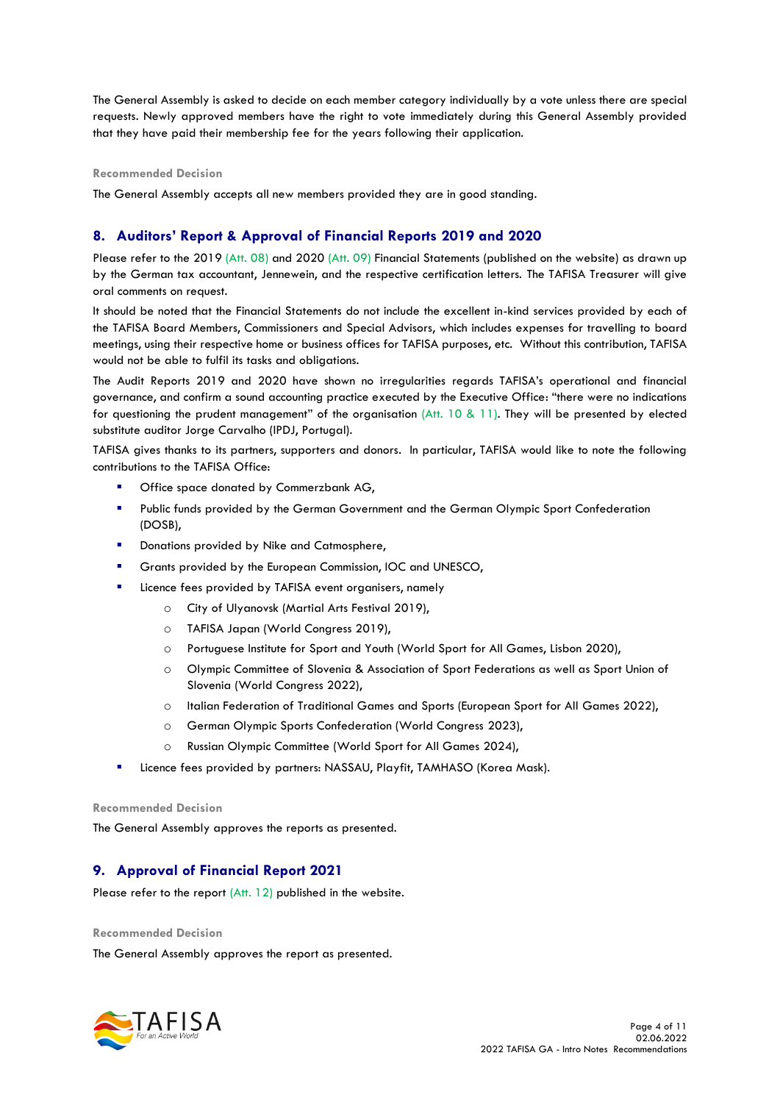The General Assembly is asked to decide on each member category individually by a vote unless there are special requests. Newly approved members have the right to vote immediately during this General Assembly provided that they have paid their membership fee for the years following their application.

#### **Recommended Decision**

The General Assembly accepts all new members provided they are in good standing.

# **8. Auditors' Report & Approval of Financial Reports 2019 and 2020**

Please refer to the 2019 (Att. 08) and 2020 (Att. 09) Financial Statements (published on the website) as drawn up by the German tax accountant, Jennewein, and the respective certification letters. The TAFISA Treasurer will give oral comments on request.

It should be noted that the Financial Statements do not include the excellent in-kind services provided by each of the TAFISA Board Members, Commissioners and Special Advisors, which includes expenses for travelling to board meetings, using their respective home or business offices for TAFISA purposes, etc. Without this contribution, TAFISA would not be able to fulfil its tasks and obligations.

The Audit Reports 2019 and 2020 have shown no irregularities regards TAFISA's operational and financial governance, and confirm a sound accounting practice executed by the Executive Office: "there were no indications for questioning the prudent management" of the organisation (Att. 10 & 11). They will be presented by elected substitute auditor Jorge Carvalho (IPDJ, Portugal).

TAFISA gives thanks to its partners, supporters and donors. In particular, TAFISA would like to note the following contributions to the TAFISA Office:

- Office space donated by Commerzbank AG,
- Public funds provided by the German Government and the German Olympic Sport Confederation (DOSB),
- Donations provided by Nike and Catmosphere,
- Grants provided by the European Commission, IOC and UNESCO,
- Licence fees provided by TAFISA event organisers, namely
	- o City of Ulyanovsk (Martial Arts Festival 2019),
	- o TAFISA Japan (World Congress 2019),
	- o Portuguese Institute for Sport and Youth (World Sport for All Games, Lisbon 2020),
	- o Olympic Committee of Slovenia & Association of Sport Federations as well as Sport Union of Slovenia (World Congress 2022),
	- o Italian Federation of Traditional Games and Sports (European Sport for All Games 2022),
	- o German Olympic Sports Confederation (World Congress 2023),
	- o Russian Olympic Committee (World Sport for All Games 2024),
- Licence fees provided by partners: NASSAU, Playfit, TAMHASO (Korea Mask).

#### **Recommended Decision**

The General Assembly approves the reports as presented.

## **9. Approval of Financial Report 2021**

Please refer to the report (Att. 12) published in the website.

#### **Recommended Decision**

The General Assembly approves the report as presented.

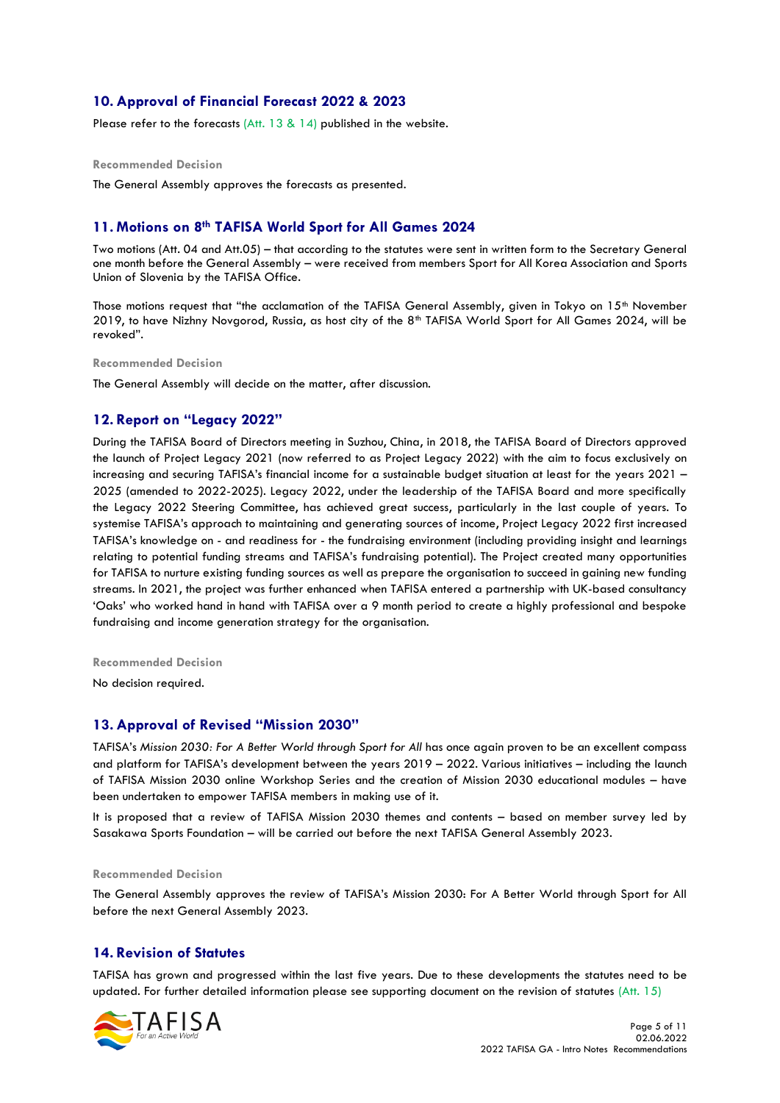# **10. Approval of Financial Forecast 2022 & 2023**

Please refer to the forecasts (Att. 13 & 14) published in the website.

#### **Recommended Decision**

The General Assembly approves the forecasts as presented.

## **11. Motions on 8th TAFISA World Sport for All Games 2024**

Two motions (Att. 04 and Att.05) – that according to the statutes were sent in written form to the Secretary General one month before the General Assembly – were received from members Sport for All Korea Association and Sports Union of Slovenia by the TAFISA Office.

Those motions request that "the acclamation of the TAFISA General Assembly, given in Tokyo on 15<sup>th</sup> November 2019, to have Nizhny Novgorod, Russia, as host city of the 8th TAFISA World Sport for All Games 2024, will be revoked".

**Recommended Decision** 

The General Assembly will decide on the matter, after discussion.

#### **12. Report on "Legacy 2022"**

During the TAFISA Board of Directors meeting in Suzhou, China, in 2018, the TAFISA Board of Directors approved the launch of Project Legacy 2021 (now referred to as Project Legacy 2022) with the aim to focus exclusively on increasing and securing TAFISA's financial income for a sustainable budget situation at least for the years 2021 – 2025 (amended to 2022-2025). Legacy 2022, under the leadership of the TAFISA Board and more specifically the Legacy 2022 Steering Committee, has achieved great success, particularly in the last couple of years. To systemise TAFISA's approach to maintaining and generating sources of income, Project Legacy 2022 first increased TAFISA's knowledge on - and readiness for - the fundraising environment (including providing insight and learnings relating to potential funding streams and TAFISA's fundraising potential). The Project created many opportunities for TAFISA to nurture existing funding sources as well as prepare the organisation to succeed in gaining new funding streams. In 2021, the project was further enhanced when TAFISA entered a partnership with UK-based consultancy 'Oaks' who worked hand in hand with TAFISA over a 9 month period to create a highly professional and bespoke fundraising and income generation strategy for the organisation.

**Recommended Decision** 

No decision required.

#### **13. Approval of Revised "Mission 2030"**

TAFISA's *Mission 2030: For A Better World through Sport for All* has once again proven to be an excellent compass and platform for TAFISA's development between the years 2019 – 2022. Various initiatives – including the launch of TAFISA Mission 2030 online Workshop Series and the creation of Mission 2030 educational modules – have been undertaken to empower TAFISA members in making use of it.

It is proposed that a review of TAFISA Mission 2030 themes and contents – based on member survey led by Sasakawa Sports Foundation – will be carried out before the next TAFISA General Assembly 2023.

#### **Recommended Decision**

The General Assembly approves the review of TAFISA's Mission 2030: For A Better World through Sport for All before the next General Assembly 2023.

## **14. Revision of Statutes**

TAFISA has grown and progressed within the last five years. Due to these developments the statutes need to be updated. For further detailed information please see supporting document on the revision of statutes  $(Att. 15)$ 

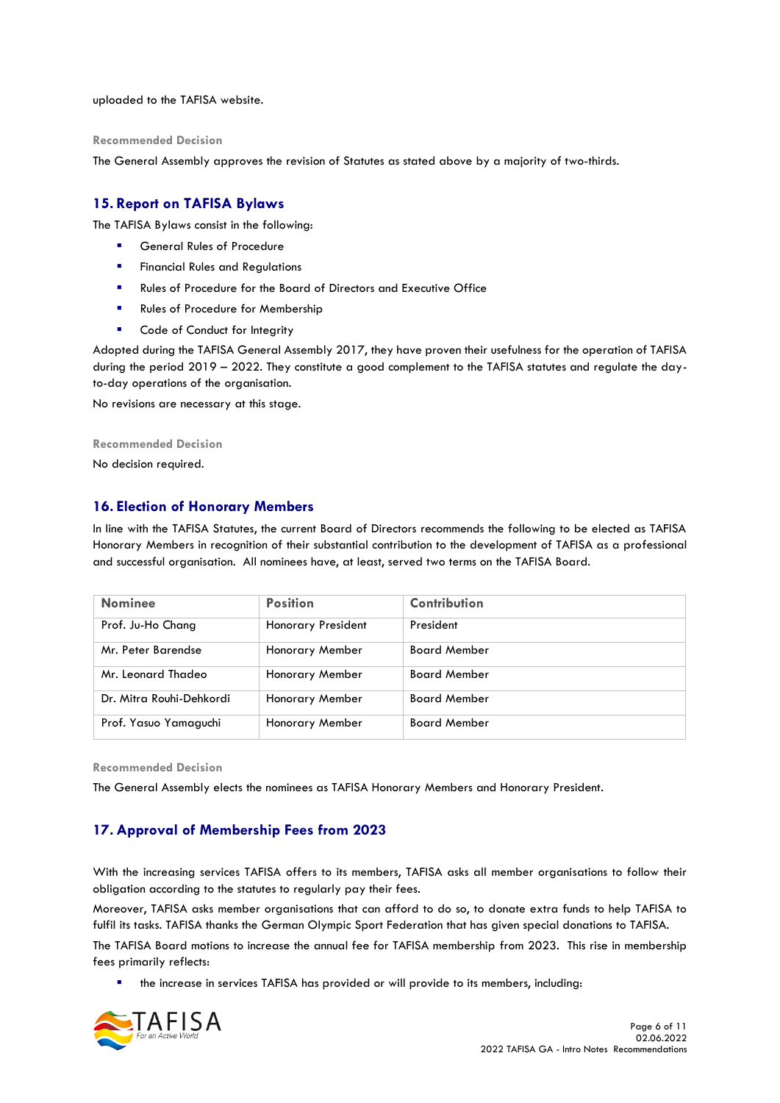uploaded to the TAFISA website.

#### **Recommended Decision**

The General Assembly approves the revision of Statutes as stated above by a majority of two-thirds.

## **15. Report on TAFISA Bylaws**

The TAFISA Bylaws consist in the following:

- General Rules of Procedure
- **Exercial Rules and Requlations**
- Rules of Procedure for the Board of Directors and Executive Office
- Rules of Procedure for Membership
- Code of Conduct for Integrity

Adopted during the TAFISA General Assembly 2017, they have proven their usefulness for the operation of TAFISA during the period 2019 – 2022. They constitute a good complement to the TAFISA statutes and regulate the dayto-day operations of the organisation.

No revisions are necessary at this stage.

#### **Recommended Decision**

No decision required.

## **16. Election of Honorary Members**

In line with the TAFISA Statutes, the current Board of Directors recommends the following to be elected as TAFISA Honorary Members in recognition of their substantial contribution to the development of TAFISA as a professional and successful organisation. All nominees have, at least, served two terms on the TAFISA Board.

| <b>Nominee</b>           | <b>Position</b>           | Contribution        |
|--------------------------|---------------------------|---------------------|
| Prof. Ju-Ho Chang        | <b>Honorary President</b> | President           |
| Mr. Peter Barendse       | Honorary Member           | <b>Board Member</b> |
| Mr. Leonard Thadeo       | <b>Honorary Member</b>    | <b>Board Member</b> |
| Dr. Mitra Rouhi-Dehkordi | Honorary Member           | <b>Board Member</b> |
| Prof. Yasuo Yamaguchi    | Honorary Member           | <b>Board Member</b> |

**Recommended Decision** 

The General Assembly elects the nominees as TAFISA Honorary Members and Honorary President.

## **17. Approval of Membership Fees from 2023**

With the increasing services TAFISA offers to its members, TAFISA asks all member organisations to follow their obligation according to the statutes to regularly pay their fees.

Moreover, TAFISA asks member organisations that can afford to do so, to donate extra funds to help TAFISA to fulfil its tasks. TAFISA thanks the German Olympic Sport Federation that has given special donations to TAFISA.

The TAFISA Board motions to increase the annual fee for TAFISA membership from 2023. This rise in membership fees primarily reflects:

the increase in services TAFISA has provided or will provide to its members, including:

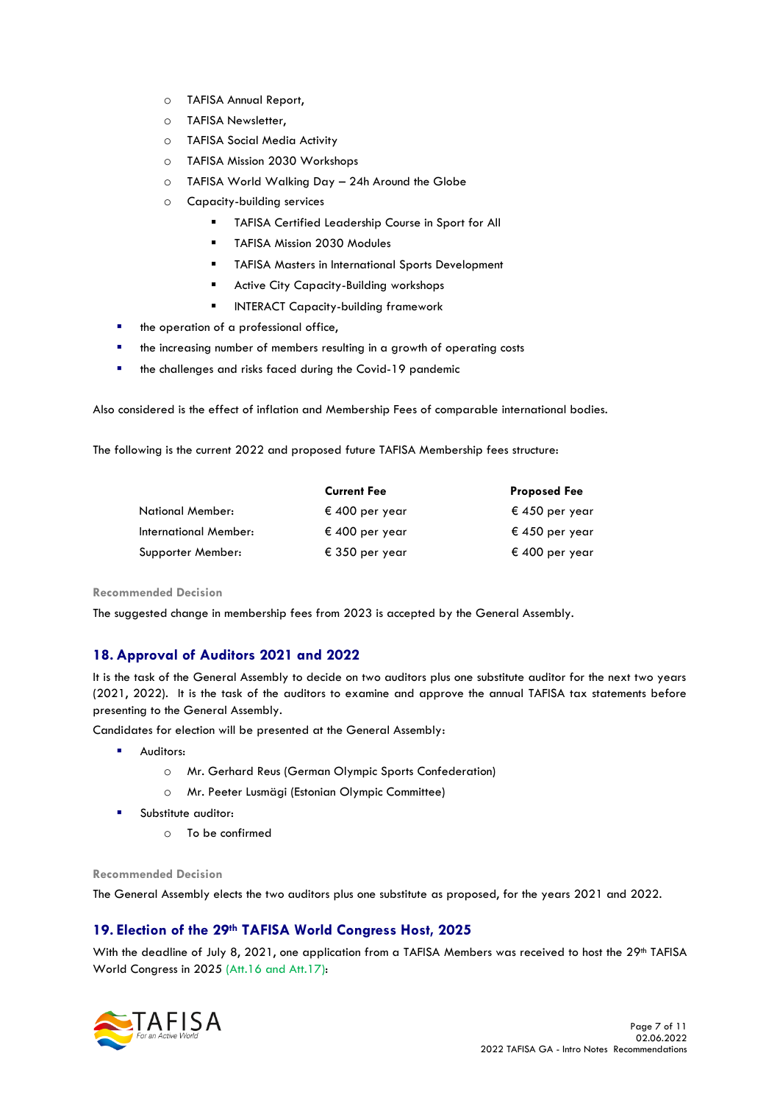- o TAFISA Annual Report,
- o TAFISA Newsletter,
- o TAFISA Social Media Activity
- o TAFISA Mission 2030 Workshops
- o TAFISA World Walking Day 24h Around the Globe
- o Capacity-building services
	- TAFISA Certified Leadership Course in Sport for All
	- TAFISA Mission 2030 Modules
	- TAFISA Masters in International Sports Development
	- Active City Capacity-Building workshops
	- INTERACT Capacity-building framework
- the operation of a professional office,
- the increasing number of members resulting in a growth of operating costs
- the challenges and risks faced during the Covid-19 pandemic

Also considered is the effect of inflation and Membership Fees of comparable international bodies.

The following is the current 2022 and proposed future TAFISA Membership fees structure:

|                         | <b>Current Fee</b> | <b>Proposed Fee</b> |
|-------------------------|--------------------|---------------------|
| <b>National Member:</b> | € 400 per year     | € 450 per year      |
| International Member:   | € 400 per year     | € 450 per year      |
| Supporter Member:       | € 350 per year     | € 400 per year      |

**Recommended Decision** 

The suggested change in membership fees from 2023 is accepted by the General Assembly.

# **18. Approval of Auditors 2021 and 2022**

It is the task of the General Assembly to decide on two auditors plus one substitute auditor for the next two years (2021, 2022). It is the task of the auditors to examine and approve the annual TAFISA tax statements before presenting to the General Assembly.

Candidates for election will be presented at the General Assembly:

- Auditors:
	- o Mr. Gerhard Reus (German Olympic Sports Confederation)
	- o Mr. Peeter Lusmägi (Estonian Olympic Committee)
- Substitute auditor:
	- o To be confirmed

**Recommended Decision** 

The General Assembly elects the two auditors plus one substitute as proposed, for the years 2021 and 2022.

# **19. Election of the 29th TAFISA World Congress Host, 2025**

With the deadline of July 8, 2021, one application from a TAFISA Members was received to host the 29<sup>th</sup> TAFISA World Congress in 2025 (Att.16 and Att.17):

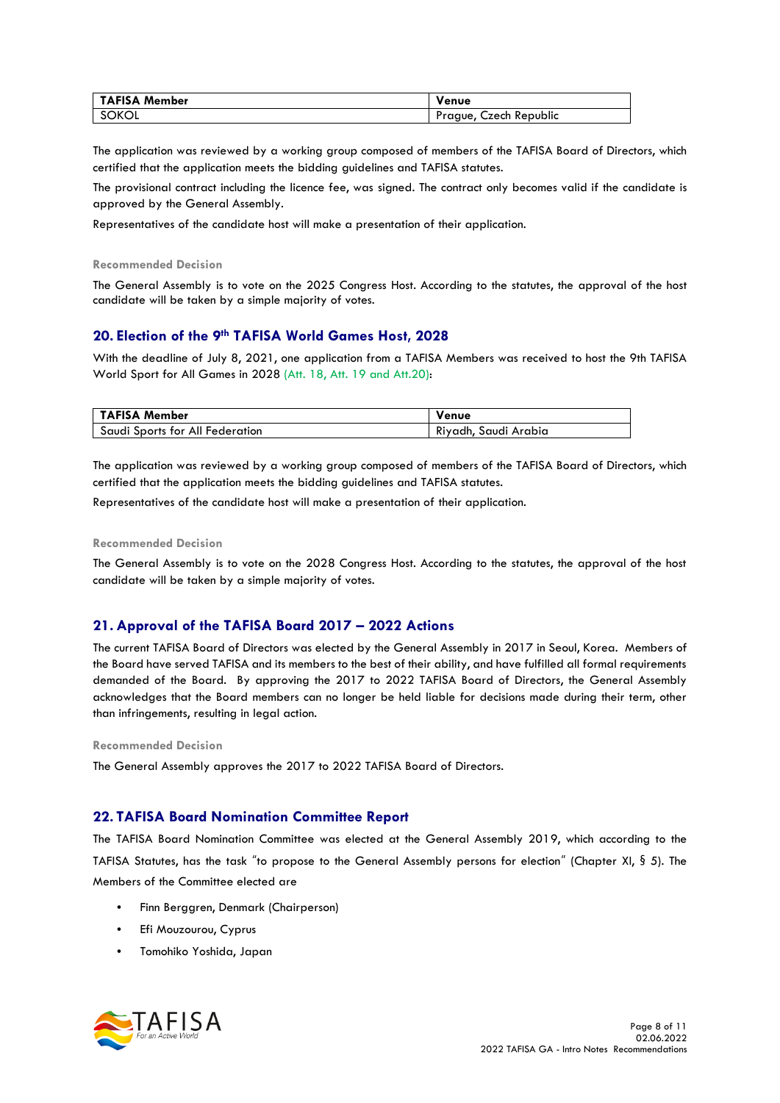| <b>TAFISA Member</b> | Venue                     |
|----------------------|---------------------------|
| SOKOL                | Czech Republic<br>Prague, |

The application was reviewed by a working group composed of members of the TAFISA Board of Directors, which certified that the application meets the bidding guidelines and TAFISA statutes.

The provisional contract including the licence fee, was signed. The contract only becomes valid if the candidate is approved by the General Assembly.

Representatives of the candidate host will make a presentation of their application.

**Recommended Decision** 

The General Assembly is to vote on the 2025 Congress Host. According to the statutes, the approval of the host candidate will be taken by a simple majority of votes.

#### **20. Election of the 9th TAFISA World Games Host, 2028**

With the deadline of July 8, 2021, one application from a TAFISA Members was received to host the 9th TAFISA World Sport for All Games in 2028 (Att. 18, Att. 19 and Att.20):

| TAFISA Member                   | Venue                |
|---------------------------------|----------------------|
| Saudi Sports for All Federation | Riyadh, Saudi Arabia |

The application was reviewed by a working group composed of members of the TAFISA Board of Directors, which certified that the application meets the bidding guidelines and TAFISA statutes.

Representatives of the candidate host will make a presentation of their application.

#### **Recommended Decision**

The General Assembly is to vote on the 2028 Congress Host. According to the statutes, the approval of the host candidate will be taken by a simple majority of votes.

#### **21. Approval of the TAFISA Board 2017 – 2022 Actions**

The current TAFISA Board of Directors was elected by the General Assembly in 2017 in Seoul, Korea. Members of the Board have served TAFISA and its members to the best of their ability, and have fulfilled all formal requirements demanded of the Board. By approving the 2017 to 2022 TAFISA Board of Directors, the General Assembly acknowledges that the Board members can no longer be held liable for decisions made during their term, other than infringements, resulting in legal action.

#### **Recommended Decision**

The General Assembly approves the 2017 to 2022 TAFISA Board of Directors.

#### **22. TAFISA Board Nomination Committee Report**

The TAFISA Board Nomination Committee was elected at the General Assembly 2019, which according to the TAFISA Statutes, has the task "to propose to the General Assembly persons for election" (Chapter XI, § 5). The Members of the Committee elected are

- Finn Berggren, Denmark (Chairperson)
- Efi Mouzourou, Cyprus
- Tomohiko Yoshida, Japan

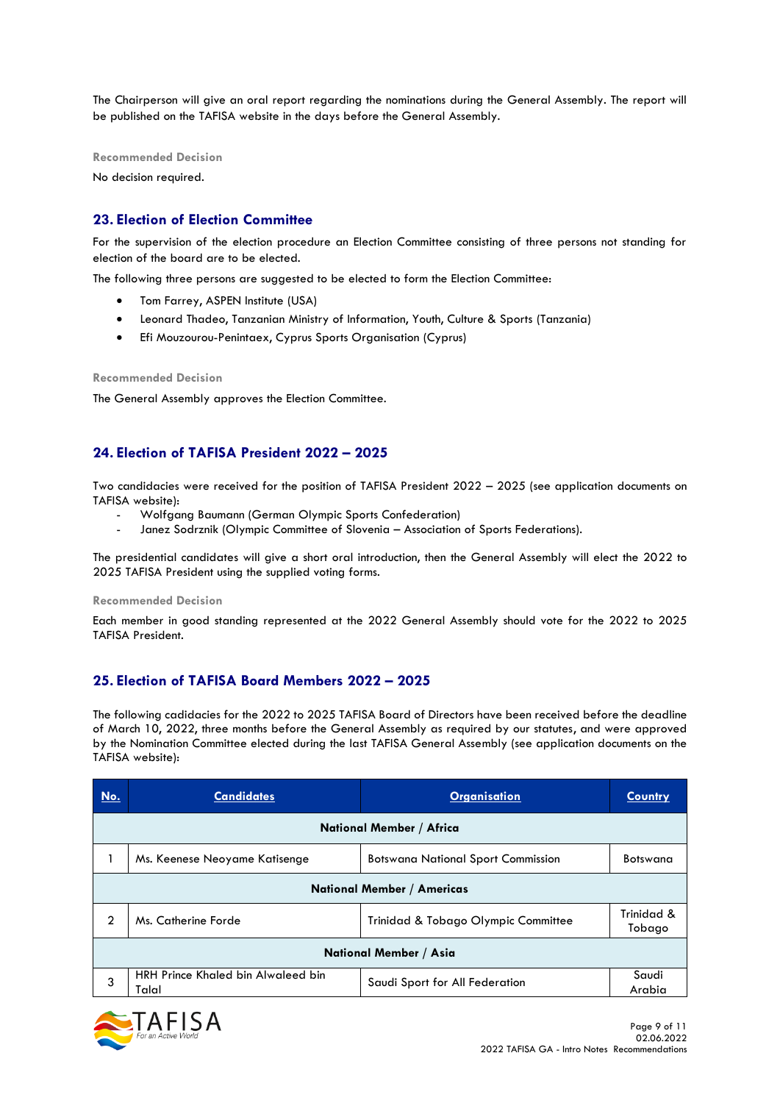The Chairperson will give an oral report regarding the nominations during the General Assembly. The report will be published on the TAFISA website in the days before the General Assembly.

**Recommended Decision** 

No decision required.

# **23. Election of Election Committee**

For the supervision of the election procedure an Election Committee consisting of three persons not standing for election of the board are to be elected.

The following three persons are suggested to be elected to form the Election Committee:

- Tom Farrey, ASPEN Institute (USA)
- Leonard Thadeo, Tanzanian Ministry of Information, Youth, Culture & Sports (Tanzania)
- Efi Mouzourou-Penintaex, Cyprus Sports Organisation (Cyprus)

#### **Recommended Decision**

The General Assembly approves the Election Committee.

# **24. Election of TAFISA President 2022 – 2025**

Two candidacies were received for the position of TAFISA President 2022 – 2025 (see application documents on TAFISA website):

- Wolfgang Baumann (German Olympic Sports Confederation)
- Janez Sodrznik (Olympic Committee of Slovenia Association of Sports Federations).

The presidential candidates will give a short oral introduction, then the General Assembly will elect the 2022 to 2025 TAFISA President using the supplied voting forms.

#### **Recommended Decision**

Each member in good standing represented at the 2022 General Assembly should vote for the 2022 to 2025 TAFISA President.

## **25. Election of TAFISA Board Members 2022 – 2025**

The following cadidacies for the 2022 to 2025 TAFISA Board of Directors have been received before the deadline of March 10, 2022, three months before the General Assembly as required by our statutes, and were approved by the Nomination Committee elected during the last TAFISA General Assembly (see application documents on the TAFISA website):

| No. | <b>Candidates</b>                           | <b>Organisation</b>                       | <b>Country</b>       |  |
|-----|---------------------------------------------|-------------------------------------------|----------------------|--|
|     | National Member / Africa                    |                                           |                      |  |
|     | Ms. Keenese Neoyame Katisenge               | <b>Botswana National Sport Commission</b> | Botswana             |  |
|     | <b>National Member / Americas</b>           |                                           |                      |  |
| 2   | Ms. Catherine Forde                         | Trinidad & Tobago Olympic Committee       | Trinidad &<br>Tobago |  |
|     | National Member / Asia                      |                                           |                      |  |
| 3   | HRH Prince Khaled bin Alwaleed bin<br>Talal | Saudi Sport for All Federation            | Saudi<br>Arabia      |  |

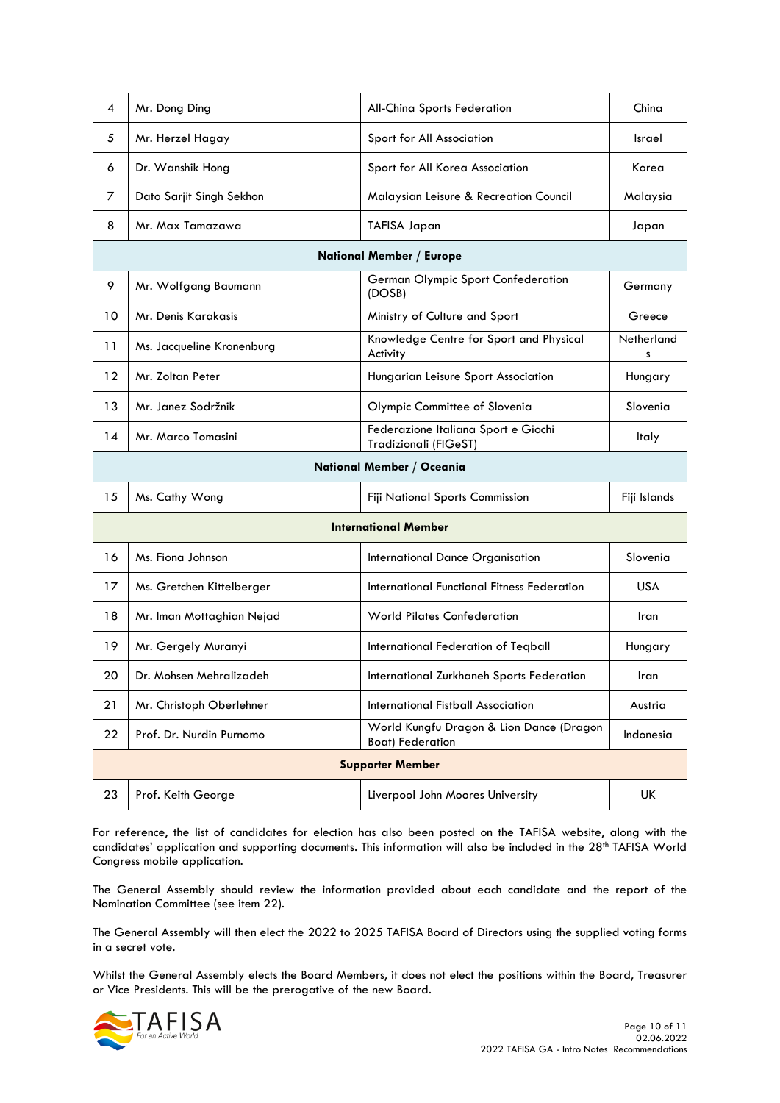| 4  | Mr. Dong Ding                   | All-China Sports Federation                                         | China           |  |
|----|---------------------------------|---------------------------------------------------------------------|-----------------|--|
| 5  | Mr. Herzel Hagay                | Sport for All Association                                           | Israel          |  |
| 6  | Dr. Wanshik Hong                | Sport for All Korea Association                                     | Korea           |  |
| 7  | Dato Sarjit Singh Sekhon        | Malaysian Leisure & Recreation Council                              | Malaysia        |  |
| 8  | Mr. Max Tamazawa                | <b>TAFISA Japan</b>                                                 | Japan           |  |
|    | <b>National Member / Europe</b> |                                                                     |                 |  |
| 9  | Mr. Wolfgang Baumann            | German Olympic Sport Confederation<br>(DOSB)                        | Germany         |  |
| 10 | Mr. Denis Karakasis             | Ministry of Culture and Sport                                       | Greece          |  |
| 11 | Ms. Jacqueline Kronenburg       | Knowledge Centre for Sport and Physical<br>Activity                 | Netherland<br>s |  |
| 12 | Mr. Zoltan Peter                | Hungarian Leisure Sport Association                                 | Hungary         |  |
| 13 | Mr. Janez Sodržnik              | Olympic Committee of Slovenia                                       | Slovenia        |  |
| 14 | Mr. Marco Tomasini              | Federazione Italiana Sport e Giochi<br>Tradizionali (FIGeST)        | Italy           |  |
|    |                                 | National Member / Oceania                                           |                 |  |
| 15 | Ms. Cathy Wong                  | Fiji National Sports Commission                                     | Fiji Islands    |  |
|    | <b>International Member</b>     |                                                                     |                 |  |
|    |                                 |                                                                     |                 |  |
| 16 | Ms. Fiona Johnson               | International Dance Organisation                                    | Slovenia        |  |
| 17 | Ms. Gretchen Kittelberger       | <b>International Functional Fitness Federation</b>                  | USA             |  |
| 18 | Mr. Iman Mottaghian Nejad       | <b>World Pilates Confederation</b>                                  | Iran            |  |
| 19 | Mr. Gergely Muranyi             | International Federation of Teqball                                 | Hungary         |  |
| 20 | Dr. Mohsen Mehralizadeh         | International Zurkhaneh Sports Federation                           | Iran            |  |
| 21 | Mr. Christoph Oberlehner        | International Fistball Association                                  | Austria         |  |
| 22 | Prof. Dr. Nurdin Purnomo        | World Kungfu Dragon & Lion Dance (Dragon<br><b>Boat)</b> Federation | Indonesia       |  |
|    |                                 | <b>Supporter Member</b>                                             |                 |  |

For reference, the list of candidates for election has also been posted on the TAFISA website, along with the candidates' application and supporting documents. This information will also be included in the 28<sup>th</sup> TAFISA World Congress mobile application.

The General Assembly should review the information provided about each candidate and the report of the Nomination Committee (see item 22).

The General Assembly will then elect the 2022 to 2025 TAFISA Board of Directors using the supplied voting forms in a secret vote.

Whilst the General Assembly elects the Board Members, it does not elect the positions within the Board, Treasurer or Vice Presidents. This will be the prerogative of the new Board.